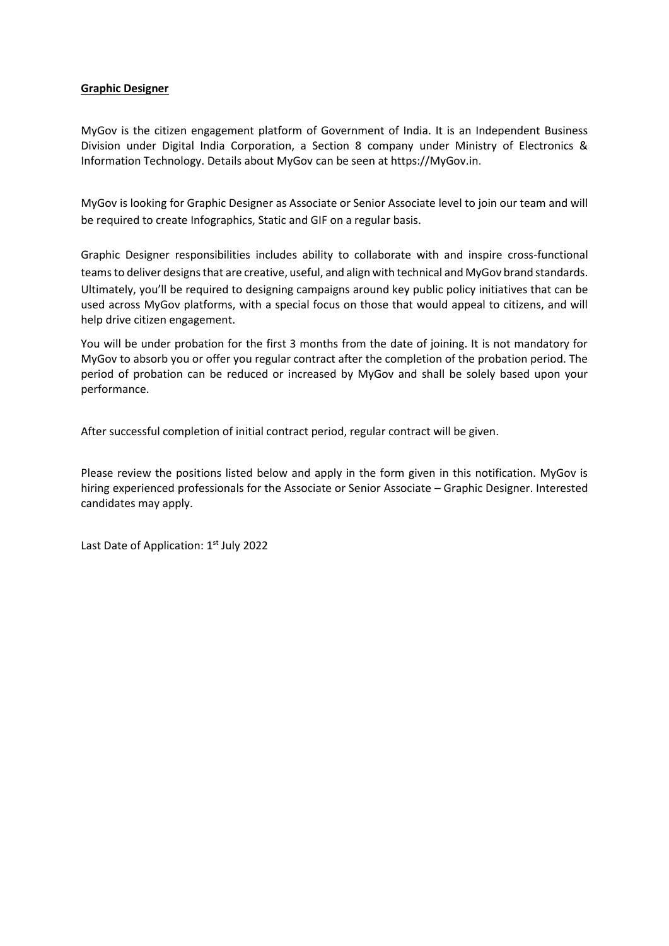### **Graphic Designer**

MyGov is the citizen engagement platform of Government of India. It is an Independent Business Division under Digital India Corporation, a Section 8 company under Ministry of Electronics & Information Technology. Details about MyGov can be seen at https://MyGov.in.

MyGov is looking for Graphic Designer as Associate or Senior Associate level to join our team and will be required to create Infographics, Static and GIF on a regular basis.

Graphic Designer responsibilities includes ability to collaborate with and inspire cross-functional teams to deliver designs that are creative, useful, and align with technical and MyGov brand standards. Ultimately, you'll be required to designing campaigns around key public policy initiatives that can be used across MyGov platforms, with a special focus on those that would appeal to citizens, and will help drive citizen engagement.

You will be under probation for the first 3 months from the date of joining. It is not mandatory for MyGov to absorb you or offer you regular contract after the completion of the probation period. The period of probation can be reduced or increased by MyGov and shall be solely based upon your performance.

After successful completion of initial contract period, regular contract will be given.

Please review the positions listed below and apply in the form given in this notification. MyGov is hiring experienced professionals for the Associate or Senior Associate – Graphic Designer. Interested candidates may apply.

Last Date of Application: 1st July 2022